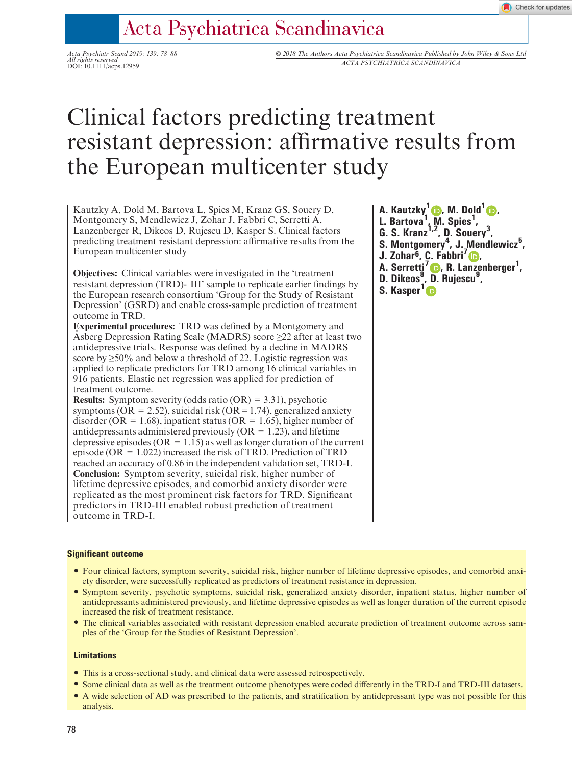## Acta Psychiatrica Scandinavica

All rights reserved

Acta Psychiatr Scand 2019: 139: 78–88 © 2018 The Authors Acta Psychiatrica Scandinavica Published by John Wiley & Sons Ltd All rights reserved<br>DOI: 10.1111/acps.12959 ACTA PSYCHIATRICA SCANDINAVICA

# Clinical factors predicting treatment resistant depression: affirmative results from the European multicenter study

Kautzky A, Dold M, Bartova L, Spies M, Kranz GS, Souery D, Montgomery S, Mendlewicz J, Zohar J, Fabbri C, Serretti A, Lanzenberger R, Dikeos D, Rujescu D, Kasper S. Clinical factors predicting treatment resistant depression: affirmative results from the European multicenter study

Objectives: Clinical variables were investigated in the 'treatment resistant depression (TRD)- III' sample to replicate earlier findings by the European research consortium 'Group for the Study of Resistant Depression' (GSRD) and enable cross-sample prediction of treatment outcome in TRD.

Experimental procedures: TRD was defined by a Montgomery and Asberg Depression Rating Scale (MADRS) score  $\geq 22$  after at least two antidepressive trials. Response was defined by a decline in MADRS score by ≥50% and below a threshold of 22. Logistic regression was applied to replicate predictors for TRD among 16 clinical variables in 916 patients. Elastic net regression was applied for prediction of treatment outcome.

**Results:** Symptom severity (odds ratio  $(OR) = 3.31$ ), psychotic symptoms (OR = 2.52), suicidal risk (OR = 1.74), generalized anxiety disorder (OR = 1.68), inpatient status (OR = 1.65), higher number of antidepressants administered previously ( $OR = 1.23$ ), and lifetime depressive episodes ( $OR = 1.15$ ) as well as longer duration of the current episode (OR = 1.022) increased the risk of TRD. Prediction of TRD reached an accuracy of 0.86 in the independent validation set, TRD-I. Conclusion: Symptom severity, suicidal risk, higher number of lifetime depressive episodes, and comorbid anxiety disorder were replicated as the most prominent risk factors for TRD. Significant predictors in TRD-III enabled robust prediction of treatment outcome in TRD-I.

- A. Kautzky<sup>[1](http://orcid.org/0000-0001-8914-2192)</sup> **D**[,](http://orcid.org/0000-0001-8914-2192) M. Dold<sup>1</sup> **D**,
- L. Bartova<sup>1</sup>[,](http://orcid.org/0000-0001-9251-8285) [M](http://orcid.org/0000-0001-9251-8285). Spies<sup>1</sup>,
- G. S. Kranz<sup>1,2</sup>, D. Souery<sup>3</sup> ,
- S. Montgomery<sup>4</sup>, J. Mendlewicz<sup>5</sup>,
- J. Zohar<sup>6</sup>[,](http://orcid.org/0000-0003-0276-7865) C. Fabbri<sup>'</sup> D.
- A. Serretti<sup>7</sup> D. R. Lanzenberger<sup>1</sup>[,](http://orcid.org/0000-0003-4363-3759)
- [D](http://orcid.org/0000-0003-4363-3759). Dikeos $^{8}_{2}$ , D. Rujescu $^{9}$ ,
- S. Kasper<sup>[1](http://orcid.org/0000-0001-8278-191X)</sup>

## Significant outcome

- Four clinical factors, symptom severity, suicidal risk, higher number of lifetime depressive episodes, and comorbid anxiety disorder, were successfully replicated as predictors of treatment resistance in depression.
- Symptom severity, psychotic symptoms, suicidal risk, generalized anxiety disorder, inpatient status, higher number of antidepressants administered previously, and lifetime depressive episodes as well as longer duration of the current episode increased the risk of treatment resistance.
- The clinical variables associated with resistant depression enabled accurate prediction of treatment outcome across samples of the 'Group for the Studies of Resistant Depression'.

#### **Limitations**

- This is a cross-sectional study, and clinical data were assessed retrospectively.
- Some clinical data as well as the treatment outcome phenotypes were coded differently in the TRD-I and TRD-III datasets.
- A wide selection of AD was prescribed to the patients, and stratification by antidepressant type was not possible for this analysis.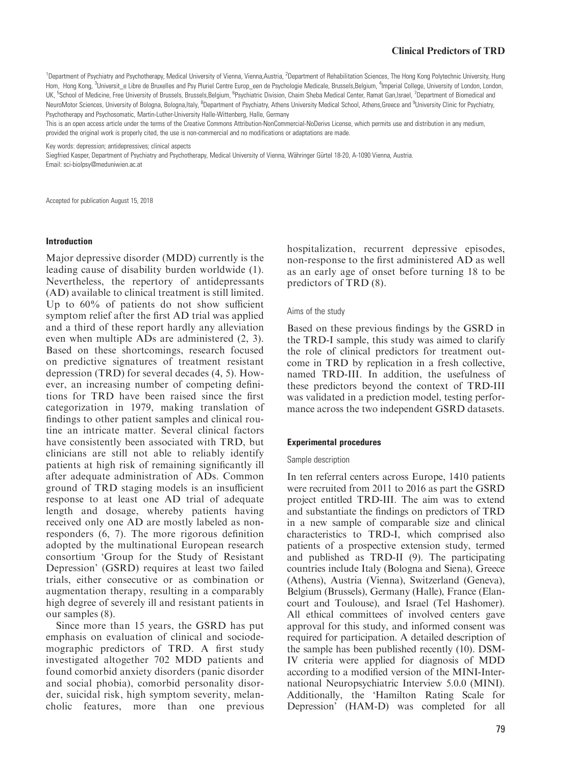<sup>1</sup>Department of Psychiatry and Psychotherapy, Medical University of Vienna, Vienna, Austria, <sup>2</sup>Department of Rehabilitation Sciences, The Hong Kong Polytechnic University, Hung Hom, Hong Kong, <sup>3</sup>Universit\_e Libre de Bruxelles and Psy Pluriel Centre Europ\_een de Psychologie Medicale, Brussels,Belgium, <sup>4</sup>Imperial College, University of London, London, UK, <sup>5</sup>School of Medicine, Free University of Brussels, Brussels,Belgium, <sup>6</sup>Psychiatric Division, Chaim Sheba Medical Center, Ramat Gan,Israel, <sup>7</sup>Department of Biomedical and NeuroMotor Sciences, University of Bologna, Bologna,Italy, <sup>8</sup>Department of Psychiatry, Athens University Medical School, Athens,Greece and <sup>9</sup>University Clinic for Psychiatry, Psychotherapy and Psychosomatic, Martin-Luther-University Halle-Wittenberg, Halle, Germany

This is an open access article under the terms of the [Creative Commons Attribution-NonCommercial-NoDerivs](http://creativecommons.org/licenses/by-nc-nd/4.0/) License, which permits use and distribution in any medium, provided the original work is properly cited, the use is non-commercial and no modifications or adaptations are made.

Key words: depression; antidepressives; clinical aspects

Siegfried Kasper, Department of Psychiatry and Psychotherapy, Medical University of Vienna, Währinger Gürtel 18-20, A-1090 Vienna, Austria. Email: [sci-biolpsy@meduniwien.ac.at](mailto:)

Accepted for publication August 15, 2018

#### Introduction

Major depressive disorder (MDD) currently is the leading cause of disability burden worldwide (1). Nevertheless, the repertory of antidepressants (AD) available to clinical treatment is still limited. Up to  $60\%$  of patients do not show sufficient symptom relief after the first AD trial was applied and a third of these report hardly any alleviation even when multiple ADs are administered (2, 3). Based on these shortcomings, research focused on predictive signatures of treatment resistant depression (TRD) for several decades (4, 5). However, an increasing number of competing definitions for TRD have been raised since the first categorization in 1979, making translation of findings to other patient samples and clinical routine an intricate matter. Several clinical factors have consistently been associated with TRD, but clinicians are still not able to reliably identify patients at high risk of remaining significantly ill after adequate administration of ADs. Common ground of TRD staging models is an insufficient response to at least one AD trial of adequate length and dosage, whereby patients having received only one AD are mostly labeled as nonresponders (6, 7). The more rigorous definition adopted by the multinational European research consortium 'Group for the Study of Resistant Depression' (GSRD) requires at least two failed trials, either consecutive or as combination or augmentation therapy, resulting in a comparably high degree of severely ill and resistant patients in our samples (8).

Since more than 15 years, the GSRD has put emphasis on evaluation of clinical and sociodemographic predictors of TRD. A first study investigated altogether 702 MDD patients and found comorbid anxiety disorders (panic disorder and social phobia), comorbid personality disorder, suicidal risk, high symptom severity, melancholic features, more than one previous hospitalization, recurrent depressive episodes, non-response to the first administered AD as well as an early age of onset before turning 18 to be predictors of TRD (8).

#### Aims of the study

Based on these previous findings by the GSRD in the TRD-I sample, this study was aimed to clarify the role of clinical predictors for treatment outcome in TRD by replication in a fresh collective, named TRD-III. In addition, the usefulness of these predictors beyond the context of TRD-III was validated in a prediction model, testing performance across the two independent GSRD datasets.

#### Experimental procedures

#### Sample description

In ten referral centers across Europe, 1410 patients were recruited from 2011 to 2016 as part the GSRD project entitled TRD-III. The aim was to extend and substantiate the findings on predictors of TRD in a new sample of comparable size and clinical characteristics to TRD-I, which comprised also patients of a prospective extension study, termed and published as TRD-II (9). The participating countries include Italy (Bologna and Siena), Greece (Athens), Austria (Vienna), Switzerland (Geneva), Belgium (Brussels), Germany (Halle), France (Elancourt and Toulouse), and Israel (Tel Hashomer). All ethical committees of involved centers gave approval for this study, and informed consent was required for participation. A detailed description of the sample has been published recently (10). DSM-IV criteria were applied for diagnosis of MDD according to a modified version of the MINI-International Neuropsychiatric Interview 5.0.0 (MINI). Additionally, the 'Hamilton Rating Scale for Depression' (HAM-D) was completed for all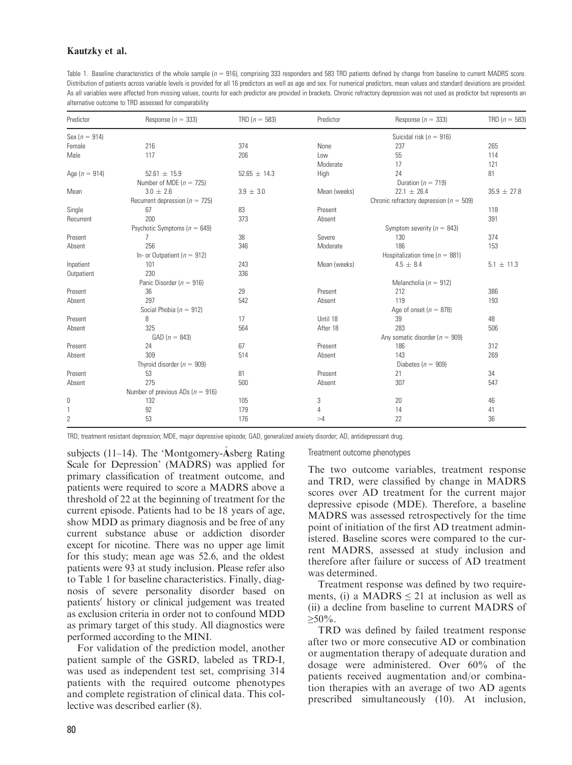Table 1. Baseline characteristics of the whole sample ( $n = 916$ ), comprising 333 responders and 583 TRD patients defined by change from baseline to current MADRS score. Distribution of patients across variable levels is provided for all 16 predictors as well as age and sex. For numerical predictors, mean values and standard deviations are provided. As all variables were affected from missing values, counts for each predictor are provided in brackets. Chronic refractory depression was not used as predictor but represents an alternative outcome to TRD assessed for comparability

| Predictor               | Response ( $n = 333$ )               | TRD $(n = 583)$  | Predictor                          | Response ( $n = 333$ )         | TRD ( $n = 583$ ) |  |  |
|-------------------------|--------------------------------------|------------------|------------------------------------|--------------------------------|-------------------|--|--|
| $\text{Sex } (n = 914)$ |                                      |                  |                                    | Suicidal risk ( $n = 916$ )    |                   |  |  |
| Female                  | 216                                  | 374              | None                               | 237                            | 265               |  |  |
| Male                    | 117                                  | 206              | Low                                | 55                             | 114               |  |  |
|                         |                                      |                  | Moderate                           | 17                             | 121               |  |  |
| Age ( $n = 914$ )       | $52.61 \pm 15.9$                     | $52.65 \pm 14.3$ | High                               | 24                             | 81                |  |  |
|                         | Number of MDE ( $n = 725$ )          |                  |                                    | Duration ( $n = 719$ )         |                   |  |  |
| Mean                    | $3.0 \pm 2.6$                        | $3.9 \pm 3.0$    | Mean (weeks)                       | $22.1 \pm 26.4$                | $35.9 \pm 27.8$   |  |  |
|                         | Recurrent depression ( $n = 725$ )   |                  |                                    |                                |                   |  |  |
| Single                  | 67                                   | 83               | Present                            |                                | 118               |  |  |
| Recurrent               | 200                                  | 373              | Absent                             |                                | 391               |  |  |
|                         | Psychotic Symptoms ( $n = 649$ )     |                  |                                    | Symptom severity ( $n = 843$ ) |                   |  |  |
| Present                 | 7                                    | 38               | Severe                             | 130                            | 374               |  |  |
| Absent                  | 256                                  | 346              | Moderate                           | 186                            | 153               |  |  |
|                         | In- or Outpatient ( $n = 912$ )      |                  |                                    |                                |                   |  |  |
| Inpatient               | 101                                  | 243              | Mean (weeks)                       | $4.5 \pm 8.4$                  | $5.1 \pm 11.3$    |  |  |
| Outpatient              | 230                                  | 336              |                                    |                                |                   |  |  |
|                         | Panic Disorder ( $n = 916$ )         |                  | Melancholia ( $n = 912$ )          |                                |                   |  |  |
| Present                 | 36                                   | 29               | Present                            | 212                            | 386               |  |  |
| Absent                  | 297                                  | 542              | Absent                             | 119                            | 193               |  |  |
|                         | Social Phobia ( $n = 912$ )          |                  | Age of onset ( $n = 878$ )         |                                |                   |  |  |
| Present                 | 8                                    | 17               | Until 18                           | 39                             | 48                |  |  |
| Absent                  | 325                                  | 564              | After 18                           | 283                            | 506               |  |  |
|                         | $GAD (n = 843)$                      |                  | Any somatic disorder ( $n = 909$ ) |                                |                   |  |  |
| Present                 | 24                                   | 67               | Present                            | 186                            | 312               |  |  |
| Absent                  | 309                                  | 514              | Absent                             | 143                            | 269               |  |  |
|                         | Thyroid disorder ( $n = 909$ )       |                  | Diabetes ( $n = 909$ )             |                                |                   |  |  |
| Present                 | 53                                   | 81               | Present                            | 21                             | 34                |  |  |
| Absent                  | 275                                  | 500              | Absent                             | 307                            | 547               |  |  |
|                         | Number of previous ADs ( $n = 916$ ) |                  |                                    |                                |                   |  |  |
| 0                       | 132                                  | 105              | 3                                  | 20                             | 46                |  |  |
| $\mathbf{1}$            | 92                                   | 179              | 4                                  | 14                             | 41                |  |  |
| 2                       | 53                                   | 176              | >4                                 | 22                             | 36                |  |  |

TRD, treatment resistant depression; MDE, major depressive episode; GAD, generalized anxiety disorder; AD, antidepressant drug.

subjects (11–14). The 'Montgomery-Asberg Rating Scale for Depression' (MADRS) was applied for primary classification of treatment outcome, and patients were required to score a MADRS above a threshold of 22 at the beginning of treatment for the current episode. Patients had to be 18 years of age, show MDD as primary diagnosis and be free of any current substance abuse or addiction disorder except for nicotine. There was no upper age limit for this study; mean age was 52.6, and the oldest patients were 93 at study inclusion. Please refer also to Table 1 for baseline characteristics. Finally, diagnosis of severe personality disorder based on patients' history or clinical judgement was treated as exclusion criteria in order not to confound MDD as primary target of this study. All diagnostics were performed according to the MINI.

For validation of the prediction model, another patient sample of the GSRD, labeled as TRD-I, was used as independent test set, comprising 314 patients with the required outcome phenotypes and complete registration of clinical data. This collective was described earlier (8).

Treatment outcome phenotypes

The two outcome variables, treatment response and TRD, were classified by change in MADRS scores over AD treatment for the current major depressive episode (MDE). Therefore, a baseline MADRS was assessed retrospectively for the time point of initiation of the first AD treatment administered. Baseline scores were compared to the current MADRS, assessed at study inclusion and therefore after failure or success of AD treatment was determined.

Treatment response was defined by two requirements, (i) a MADRS  $\leq$  21 at inclusion as well as (ii) a decline from baseline to current MADRS of  $>50\%$ .

TRD was defined by failed treatment response after two or more consecutive AD or combination or augmentation therapy of adequate duration and dosage were administered. Over 60% of the patients received augmentation and/or combination therapies with an average of two AD agents prescribed simultaneously (10). At inclusion,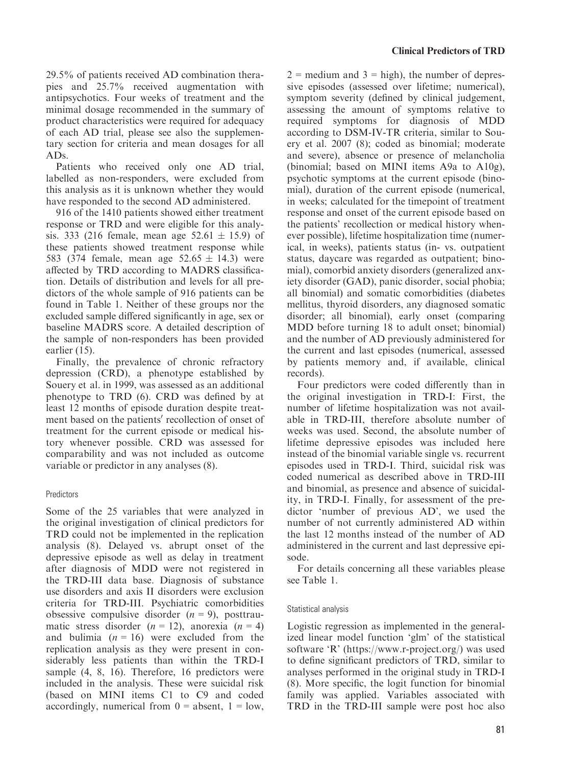29.5% of patients received AD combination therapies and 25.7% received augmentation with antipsychotics. Four weeks of treatment and the minimal dosage recommended in the summary of product characteristics were required for adequacy of each AD trial, please see also the supplementary section for criteria and mean dosages for all ADs.

Patients who received only one AD trial, labelled as non-responders, were excluded from this analysis as it is unknown whether they would have responded to the second AD administered.

916 of the 1410 patients showed either treatment response or TRD and were eligible for this analysis. 333 (216 female, mean age  $52.61 \pm 15.9$ ) of these patients showed treatment response while 583 (374 female, mean age  $52.65 \pm 14.3$ ) were affected by TRD according to MADRS classification. Details of distribution and levels for all predictors of the whole sample of 916 patients can be found in Table 1. Neither of these groups nor the excluded sample differed significantly in age, sex or baseline MADRS score. A detailed description of the sample of non-responders has been provided earlier (15).

Finally, the prevalence of chronic refractory depression (CRD), a phenotype established by Souery et al. in 1999, was assessed as an additional phenotype to TRD (6). CRD was defined by at least 12 months of episode duration despite treatment based on the patients' recollection of onset of treatment for the current episode or medical history whenever possible. CRD was assessed for comparability and was not included as outcome variable or predictor in any analyses (8).

## Predictors

Some of the 25 variables that were analyzed in the original investigation of clinical predictors for TRD could not be implemented in the replication analysis (8). Delayed vs. abrupt onset of the depressive episode as well as delay in treatment after diagnosis of MDD were not registered in the TRD-III data base. Diagnosis of substance use disorders and axis II disorders were exclusion criteria for TRD-III. Psychiatric comorbidities obsessive compulsive disorder  $(n = 9)$ , posttraumatic stress disorder  $(n = 12)$ , anorexia  $(n = 4)$ and bulimia  $(n = 16)$  were excluded from the replication analysis as they were present in considerably less patients than within the TRD-I sample (4, 8, 16). Therefore, 16 predictors were included in the analysis. These were suicidal risk (based on MINI items C1 to C9 and coded accordingly, numerical from  $0 =$  absent,  $1 =$  low,  $2 =$  medium and  $3 =$  high), the number of depressive episodes (assessed over lifetime; numerical), symptom severity (defined by clinical judgement, assessing the amount of symptoms relative to required symptoms for diagnosis of MDD according to DSM-IV-TR criteria, similar to Souery et al. 2007 (8); coded as binomial; moderate and severe), absence or presence of melancholia (binomial; based on MINI items A9a to A10g), psychotic symptoms at the current episode (binomial), duration of the current episode (numerical, in weeks; calculated for the timepoint of treatment response and onset of the current episode based on the patients' recollection or medical history whenever possible), lifetime hospitalization time (numerical, in weeks), patients status (in- vs. outpatient status, daycare was regarded as outpatient; binomial), comorbid anxiety disorders (generalized anxiety disorder (GAD), panic disorder, social phobia; all binomial) and somatic comorbidities (diabetes mellitus, thyroid disorders, any diagnosed somatic disorder; all binomial), early onset (comparing MDD before turning 18 to adult onset; binomial) and the number of AD previously administered for the current and last episodes (numerical, assessed by patients memory and, if available, clinical records).

Four predictors were coded differently than in the original investigation in TRD-I: First, the number of lifetime hospitalization was not available in TRD-III, therefore absolute number of weeks was used. Second, the absolute number of lifetime depressive episodes was included here instead of the binomial variable single vs. recurrent episodes used in TRD-I. Third, suicidal risk was coded numerical as described above in TRD-III and binomial, as presence and absence of suicidality, in TRD-I. Finally, for assessment of the predictor 'number of previous AD', we used the number of not currently administered AD within the last 12 months instead of the number of AD administered in the current and last depressive episode.

For details concerning all these variables please see Table 1.

## Statistical analysis

Logistic regression as implemented in the generalized linear model function 'glm' of the statistical software 'R' (<https://www.r-project.org/>) was used to define significant predictors of TRD, similar to analyses performed in the original study in TRD-I (8). More specific, the logit function for binomial family was applied. Variables associated with TRD in the TRD-III sample were post hoc also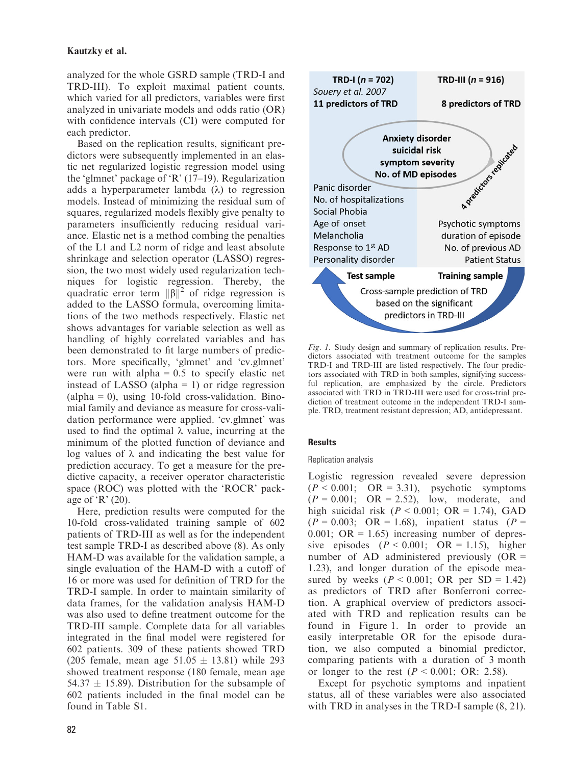analyzed for the whole GSRD sample (TRD-I and TRD-III). To exploit maximal patient counts, which varied for all predictors, variables were first analyzed in univariate models and odds ratio (OR) with confidence intervals (CI) were computed for each predictor.

Based on the replication results, significant predictors were subsequently implemented in an elastic net regularized logistic regression model using the 'glmnet' package of 'R' (17–19). Regularization adds a hyperparameter lambda  $(\lambda)$  to regression models. Instead of minimizing the residual sum of squares, regularized models flexibly give penalty to parameters insufficiently reducing residual variance. Elastic net is a method combing the penalties of the L1 and L2 norm of ridge and least absolute shrinkage and selection operator (LASSO) regression, the two most widely used regularization techniques for logistic regression. Thereby, the quadratic error term  $\|\beta\|^2$  of ridge regression is added to the LASSO formula, overcoming limitations of the two methods respectively. Elastic net shows advantages for variable selection as well as handling of highly correlated variables and has been demonstrated to fit large numbers of predictors. More specifically, 'glmnet' and 'cv.glmnet' were run with alpha  $= 0.5$  to specify elastic net instead of LASSO (alpha  $= 1$ ) or ridge regression  $\alpha$  (alpha = 0), using 10-fold cross-validation. Binomial family and deviance as measure for cross-validation performance were applied. 'cv.glmnet' was used to find the optimal  $\lambda$  value, incurring at the minimum of the plotted function of deviance and log values of  $\lambda$  and indicating the best value for prediction accuracy. To get a measure for the predictive capacity, a receiver operator characteristic space (ROC) was plotted with the 'ROCR' package of  $\mathcal{R}'(20)$ .

Here, prediction results were computed for the 10-fold cross-validated training sample of 602 patients of TRD-III as well as for the independent test sample TRD-I as described above (8). As only HAM-D was available for the validation sample, a single evaluation of the HAM-D with a cutoff of 16 or more was used for definition of TRD for the TRD-I sample. In order to maintain similarity of data frames, for the validation analysis HAM-D was also used to define treatment outcome for the TRD-III sample. Complete data for all variables integrated in the final model were registered for 602 patients. 309 of these patients showed TRD (205 female, mean age  $51.05 \pm 13.81$ ) while 293 showed treatment response (180 female, mean age  $54.37 \pm 15.89$ ). Distribution for the subsample of 602 patients included in the final model can be found in Table S1.



Fig. 1. Study design and summary of replication results. Predictors associated with treatment outcome for the samples TRD-I and TRD-III are listed respectively. The four predictors associated with TRD in both samples, signifying successful replication, are emphasized by the circle. Predictors associated with TRD in TRD-III were used for cross-trial prediction of treatment outcome in the independent TRD-I sample. TRD, treatment resistant depression; AD, antidepressant.

## **Results**

## Replication analysis

Logistic regression revealed severe depression  $(P < 0.001; \text{ OR } = 3.31)$ , psychotic symptoms  $(P = 0.001; \text{ OR } = 2.52)$ , low, moderate, and high suicidal risk  $(P < 0.001$ ; OR = 1.74), GAD  $(P = 0.003; \text{ OR } = 1.68)$ , inpatient status  $(P =$ 0.001;  $OR = 1.65$ ) increasing number of depressive episodes  $(P < 0.001; \text{ OR } = 1.15)$ , higher number of AD administered previously  $(OR =$ 1.23), and longer duration of the episode measured by weeks  $(P < 0.001$ ; OR per SD = 1.42) as predictors of TRD after Bonferroni correction. A graphical overview of predictors associated with TRD and replication results can be found in Figure 1. In order to provide an easily interpretable OR for the episode duration, we also computed a binomial predictor, comparing patients with a duration of 3 month or longer to the rest  $(P < 0.001$ ; OR: 2.58).

Except for psychotic symptoms and inpatient status, all of these variables were also associated with TRD in analyses in the TRD-I sample  $(8, 21)$ .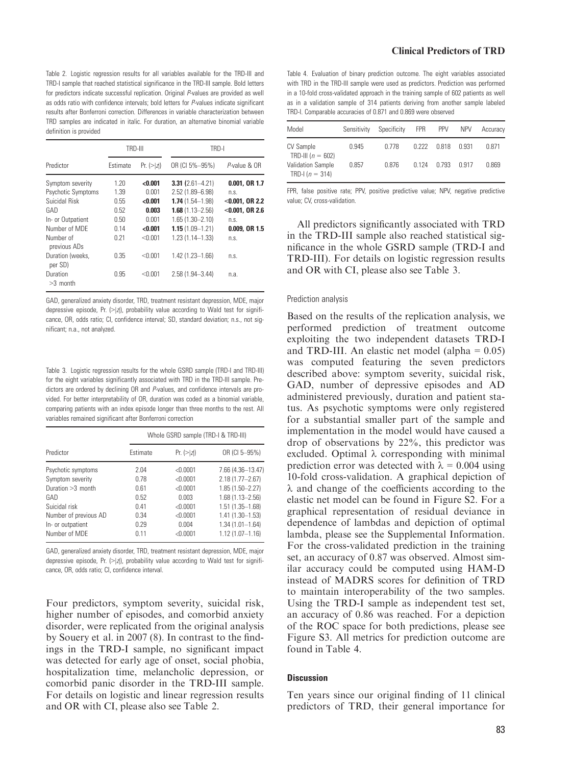Table 2. Logistic regression results for all variables available for the TRD-III and TRD-I sample that reached statistical significance in the TRD-III sample. Bold letters for predictors indicate successful replication. Original P-values are provided as well as odds ratio with confidence intervals; bold letters for P-values indicate significant results after Bonferroni correction. Differences in variable characterization between TRD samples are indicated in italic. For duration, an alternative binomial variable definition is provided

|                             | TRD-III  |                   | TRD-I               |                   |  |  |
|-----------------------------|----------|-------------------|---------------------|-------------------|--|--|
| Predictor                   | Estimate | $Pr.$ ( $>  z $ ) | OR (CI 5%-95%)      | P-value & OR      |  |  |
| Symptom severity            | 1.20     | < 0.001           | $3.31(2.61 - 4.21)$ | 0.001, OR 1.7     |  |  |
| Psychotic Symptoms          | 1.39     | 0.001             | 2.52 (1.89-6.98)    | n.s.              |  |  |
| Suicidal Risk               | 0.55     | < 0.001           | $1.74(1.54 - 1.98)$ | $<$ 0.001, OR 2.2 |  |  |
| GAD                         | 0.52     | 0.003             | $1.68(1.13 - 2.56)$ | $<$ 0.001, OR 2.6 |  |  |
| In- or Outpatient           | 0.50     | 0.001             | $1.65(1.30 - 2.10)$ | n.s.              |  |  |
| Number of MDE               | 0.14     | < 0.001           | $1.15(1.09 - 1.21)$ | 0.009, OR 1.5     |  |  |
| Number of<br>previous ADs   | 0.21     | < 0.001           | 1.23 (1.14-1.33)    | n.s.              |  |  |
| Duration (weeks.<br>per SD) | 0.35     | < 0.001           | 1.42 (1.23-1.66)    | n.s.              |  |  |
| Duration<br>$>3$ month      | 0.95     | < 0.001           | 2.58 (1.94 - 3.44)  | n.a.              |  |  |

GAD, generalized anxiety disorder, TRD, treatment resistant depression, MDE, major depressive episode, Pr.  $(>\vert z \vert)$ , probability value according to Wald test for significance, OR, odds ratio; CI, confidence interval; SD, standard deviation; n.s., not significant; n.a., not analyzed.

Table 3. Logistic regression results for the whole GSRD sample (TRD-I and TRD-III) for the eight variables significantly associated with TRD in the TRD-III sample. Predictors are ordered by declining OR and P-values, and confidence intervals are provided. For better interpretability of OR, duration was coded as a binomial variable, comparing patients with an index episode longer than three months to the rest. All variables remained significant after Bonferroni correction

|                       | Whole GSRD sample (TRD-I & TRD-III) |                   |                     |  |
|-----------------------|-------------------------------------|-------------------|---------------------|--|
| Predictor             | Estimate                            | $Pr.$ ( $>  z $ ) | OR (CI 5-95%)       |  |
| Psychotic symptoms    | 2.04                                | < 0.0001          | 7.66 (4.36-13.47)   |  |
| Symptom severity      | በ 78                                | < 0.0001          | $2.18(1.77 - 2.67)$ |  |
| Duration $>3$ month   | 0.61                                | < 0.0001          | $1.85(1.50 - 2.27)$ |  |
| GAD                   | 0.52                                | 0.003             | 1.68 (1.13-2.56)    |  |
| Suicidal risk         | n 41                                | < 0.0001          | $1.51(1.35 - 1.68)$ |  |
| Number of previous AD | 0.34                                | < 0.0001          | $1.41(1.30 - 1.53)$ |  |
| In- or outpatient     | n 29                                | 0.004             | $1.34(1.01 - 1.64)$ |  |
| Number of MDE         | 0.11                                | < 0.0001          | $1.12(1.07 - 1.16)$ |  |

GAD, generalized anxiety disorder, TRD, treatment resistant depression, MDE, major depressive episode, Pr.  $(>\vert z \vert)$ , probability value according to Wald test for significance, OR, odds ratio; CI, confidence interval.

Four predictors, symptom severity, suicidal risk, higher number of episodes, and comorbid anxiety disorder, were replicated from the original analysis by Souery et al. in 2007 (8). In contrast to the findings in the TRD-I sample, no significant impact was detected for early age of onset, social phobia, hospitalization time, melancholic depression, or comorbid panic disorder in the TRD-III sample. For details on logistic and linear regression results and OR with CI, please also see Table 2.

Table 4. Evaluation of binary prediction outcome. The eight variables associated with TRD in the TRD-III sample were used as predictors. Prediction was performed in a 10-fold cross-validated approach in the training sample of 602 patients as well as in a validation sample of 314 patients deriving from another sample labeled TRD-I. Comparable accuracies of 0.871 and 0.869 were observed

| Model                                    | Sensitivity | Specificity | <b>FPR</b> | PPV   | <b>NPV</b> | Accuracy |
|------------------------------------------|-------------|-------------|------------|-------|------------|----------|
| CV Sample<br>TRD-III ( $n = 602$ )       | 0.945       | 0.778       | 0.222      | 0.818 | n 931      | 0.871    |
| Validation Sample<br>TRD-I ( $n = 314$ ) | 0.857       | 0.876       | n 124      | 0.793 | 0.917      | 0.869    |

FPR, false positive rate; PPV, positive predictive value; NPV, negative predictive value; CV, cross-validation.

All predictors significantly associated with TRD in the TRD-III sample also reached statistical significance in the whole GSRD sample (TRD-I and TRD-III). For details on logistic regression results and OR with CI, please also see Table 3.

#### Prediction analysis

Based on the results of the replication analysis, we performed prediction of treatment outcome exploiting the two independent datasets TRD-I and TRD-III. An elastic net model (alpha  $= 0.05$ ) was computed featuring the seven predictors described above: symptom severity, suicidal risk, GAD, number of depressive episodes and AD administered previously, duration and patient status. As psychotic symptoms were only registered for a substantial smaller part of the sample and implementation in the model would have caused a drop of observations by 22%, this predictor was excluded. Optimal  $\lambda$  corresponding with minimal prediction error was detected with  $\lambda = 0.004$  using 10-fold cross-validation. A graphical depiction of  $\lambda$  and change of the coefficients according to the elastic net model can be found in Figure S2. For a graphical representation of residual deviance in dependence of lambdas and depiction of optimal lambda, please see the Supplemental Information. For the cross-validated prediction in the training set, an accuracy of 0.87 was observed. Almost similar accuracy could be computed using HAM-D instead of MADRS scores for definition of TRD to maintain interoperability of the two samples. Using the TRD-I sample as independent test set, an accuracy of 0.86 was reached. For a depiction of the ROC space for both predictions, please see Figure S3. All metrics for prediction outcome are found in Table 4.

#### **Discussion**

Ten years since our original finding of 11 clinical predictors of TRD, their general importance for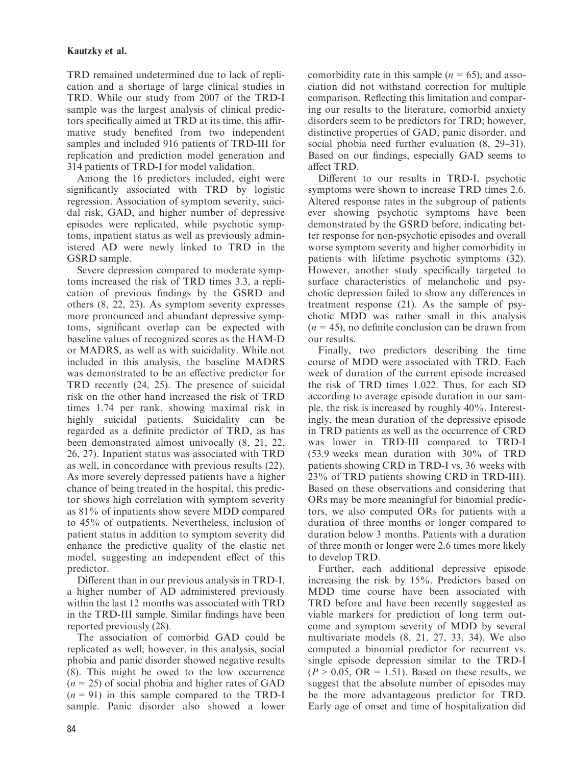TRD remained undetermined due to lack of replication and a shortage of large clinical studies in TRD. While our study from 2007 of the TRD-I sample was the largest analysis of clinical predictors specifically aimed at TRD at its time, this affirmative study benefited from two independent samples and included 916 patients of TRD-III for replication and prediction model generation and 314 patients of TRD-I for model validation.

Among the 16 predictors included, eight were significantly associated with TRD by logistic regression. Association of symptom severity, suicidal risk, GAD, and higher number of depressive episodes were replicated, while psychotic symptoms, inpatient status as well as previously administered AD were newly linked to TRD in the GSRD sample.

Severe depression compared to moderate symptoms increased the risk of TRD times 3.3, a replication of previous findings by the GSRD and others (8, 22, 23). As symptom severity expresses more pronounced and abundant depressive symptoms, significant overlap can be expected with baseline values of recognized scores as the HAM-D or MADRS, as well as with suicidality. While not included in this analysis, the baseline MADRS was demonstrated to be an effective predictor for TRD recently (24, 25). The presence of suicidal risk on the other hand increased the risk of TRD times 1.74 per rank, showing maximal risk in highly suicidal patients. Suicidality can be regarded as a definite predictor of TRD, as has been demonstrated almost univocally (8, 21, 22, 26, 27). Inpatient status was associated with TRD as well, in concordance with previous results (22). As more severely depressed patients have a higher chance of being treated in the hospital, this predictor shows high correlation with symptom severity as 81% of inpatients show severe MDD compared to 45% of outpatients. Nevertheless, inclusion of patient status in addition to symptom severity did enhance the predictive quality of the elastic net model, suggesting an independent effect of this predictor.

Different than in our previous analysis in TRD-I, a higher number of AD administered previously within the last 12 months was associated with TRD in the TRD-III sample. Similar findings have been reported previously (28).

The association of comorbid GAD could be replicated as well; however, in this analysis, social phobia and panic disorder showed negative results (8). This might be owed to the low occurrence  $(n = 25)$  of social phobia and higher rates of GAD  $(n = 91)$  in this sample compared to the TRD-I sample. Panic disorder also showed a lower comorbidity rate in this sample  $(n = 65)$ , and association did not withstand correction for multiple comparison. Reflecting this limitation and comparing our results to the literature, comorbid anxiety disorders seem to be predictors for TRD; however, distinctive properties of GAD, panic disorder, and social phobia need further evaluation (8, 29–31). Based on our findings, especially GAD seems to affect TRD.

Different to our results in TRD-I, psychotic symptoms were shown to increase TRD times 2.6. Altered response rates in the subgroup of patients ever showing psychotic symptoms have been demonstrated by the GSRD before, indicating better response for non-psychotic episodes and overall worse symptom severity and higher comorbidity in patients with lifetime psychotic symptoms (32). However, another study specifically targeted to surface characteristics of melancholic and psychotic depression failed to show any differences in treatment response (21). As the sample of psychotic MDD was rather small in this analysis  $(n = 45)$ , no definite conclusion can be drawn from our results.

Finally, two predictors describing the time course of MDD were associated with TRD. Each week of duration of the current episode increased the risk of TRD times 1.022. Thus, for each SD according to average episode duration in our sample, the risk is increased by roughly 40%. Interestingly, the mean duration of the depressive episode in TRD patients as well as the occurrence of CRD was lower in TRD-III compared to TRD-I (53.9 weeks mean duration with 30% of TRD patients showing CRD in TRD-I vs. 36 weeks with 23% of TRD patients showing CRD in TRD-III). Based on these observations and considering that ORs may be more meaningful for binomial predictors, we also computed ORs for patients with a duration of three months or longer compared to duration below 3 months. Patients with a duration of three month or longer were 2.6 times more likely to develop TRD.

Further, each additional depressive episode increasing the risk by 15%. Predictors based on MDD time course have been associated with TRD before and have been recently suggested as viable markers for prediction of long term outcome and symptom severity of MDD by several multivariate models (8, 21, 27, 33, 34). We also computed a binomial predictor for recurrent vs. single episode depression similar to the TRD-I  $(P > 0.05, \text{ OR } = 1.51)$ . Based on these results, we suggest that the absolute number of episodes may be the more advantageous predictor for TRD. Early age of onset and time of hospitalization did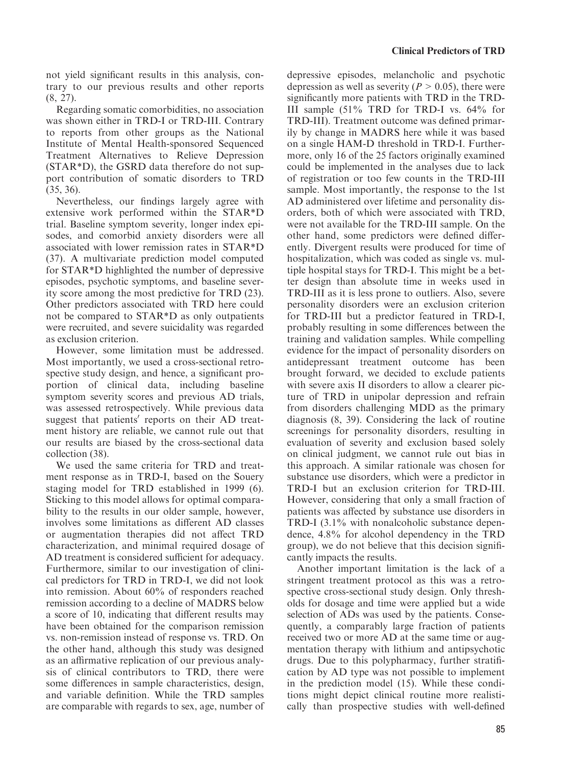not yield significant results in this analysis, contrary to our previous results and other reports (8, 27).

Regarding somatic comorbidities, no association was shown either in TRD-I or TRD-III. Contrary to reports from other groups as the National Institute of Mental Health-sponsored Sequenced Treatment Alternatives to Relieve Depression (STAR\*D), the GSRD data therefore do not support contribution of somatic disorders to TRD (35, 36).

Nevertheless, our findings largely agree with extensive work performed within the STAR\*D trial. Baseline symptom severity, longer index episodes, and comorbid anxiety disorders were all associated with lower remission rates in STAR\*D (37). A multivariate prediction model computed for STAR\*D highlighted the number of depressive episodes, psychotic symptoms, and baseline severity score among the most predictive for TRD (23). Other predictors associated with TRD here could not be compared to STAR\*D as only outpatients were recruited, and severe suicidality was regarded as exclusion criterion.

However, some limitation must be addressed. Most importantly, we used a cross-sectional retrospective study design, and hence, a significant proportion of clinical data, including baseline symptom severity scores and previous AD trials, was assessed retrospectively. While previous data suggest that patients' reports on their AD treatment history are reliable, we cannot rule out that our results are biased by the cross-sectional data collection (38).

We used the same criteria for TRD and treatment response as in TRD-I, based on the Souery staging model for TRD established in 1999 (6). Sticking to this model allows for optimal comparability to the results in our older sample, however, involves some limitations as different AD classes or augmentation therapies did not affect TRD characterization, and minimal required dosage of AD treatment is considered sufficient for adequacy. Furthermore, similar to our investigation of clinical predictors for TRD in TRD-I, we did not look into remission. About 60% of responders reached remission according to a decline of MADRS below a score of 10, indicating that different results may have been obtained for the comparison remission vs. non-remission instead of response vs. TRD. On the other hand, although this study was designed as an affirmative replication of our previous analysis of clinical contributors to TRD, there were some differences in sample characteristics, design, and variable definition. While the TRD samples are comparable with regards to sex, age, number of depressive episodes, melancholic and psychotic depression as well as severity ( $P > 0.05$ ), there were significantly more patients with TRD in the TRD-III sample (51% TRD for TRD-I vs. 64% for TRD-III). Treatment outcome was defined primarily by change in MADRS here while it was based on a single HAM-D threshold in TRD-I. Furthermore, only 16 of the 25 factors originally examined could be implemented in the analyses due to lack of registration or too few counts in the TRD-III sample. Most importantly, the response to the 1st AD administered over lifetime and personality disorders, both of which were associated with TRD, were not available for the TRD-III sample. On the other hand, some predictors were defined differently. Divergent results were produced for time of hospitalization, which was coded as single vs. multiple hospital stays for TRD-I. This might be a better design than absolute time in weeks used in TRD-III as it is less prone to outliers. Also, severe personality disorders were an exclusion criterion for TRD-III but a predictor featured in TRD-I, probably resulting in some differences between the training and validation samples. While compelling evidence for the impact of personality disorders on antidepressant treatment outcome has been brought forward, we decided to exclude patients with severe axis II disorders to allow a clearer picture of TRD in unipolar depression and refrain from disorders challenging MDD as the primary diagnosis (8, 39). Considering the lack of routine screenings for personality disorders, resulting in evaluation of severity and exclusion based solely on clinical judgment, we cannot rule out bias in this approach. A similar rationale was chosen for substance use disorders, which were a predictor in TRD-I but an exclusion criterion for TRD-III. However, considering that only a small fraction of patients was affected by substance use disorders in TRD-I (3.1% with nonalcoholic substance dependence, 4.8% for alcohol dependency in the TRD group), we do not believe that this decision significantly impacts the results.

Another important limitation is the lack of a stringent treatment protocol as this was a retrospective cross-sectional study design. Only thresholds for dosage and time were applied but a wide selection of ADs was used by the patients. Consequently, a comparably large fraction of patients received two or more AD at the same time or augmentation therapy with lithium and antipsychotic drugs. Due to this polypharmacy, further stratification by AD type was not possible to implement in the prediction model (15). While these conditions might depict clinical routine more realistically than prospective studies with well-defined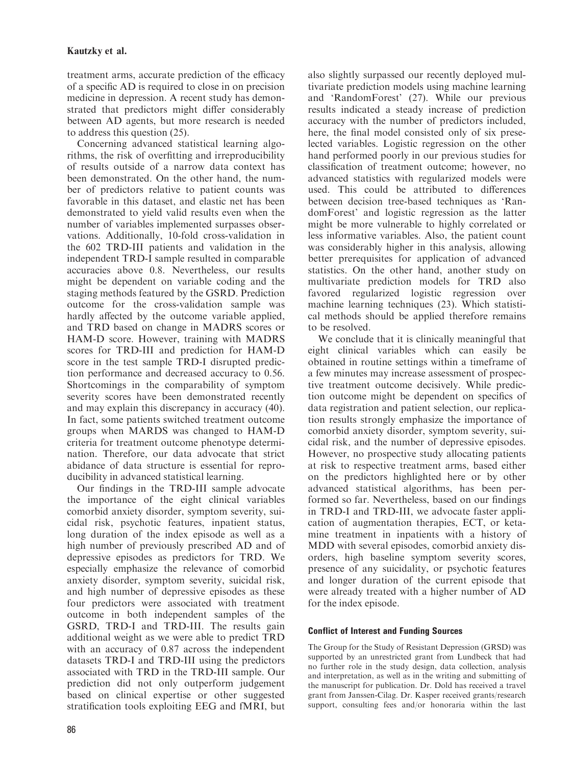treatment arms, accurate prediction of the efficacy of a specific AD is required to close in on precision medicine in depression. A recent study has demonstrated that predictors might differ considerably between AD agents, but more research is needed to address this question (25).

Concerning advanced statistical learning algorithms, the risk of overfitting and irreproducibility of results outside of a narrow data context has been demonstrated. On the other hand, the number of predictors relative to patient counts was favorable in this dataset, and elastic net has been demonstrated to yield valid results even when the number of variables implemented surpasses observations. Additionally, 10-fold cross-validation in the 602 TRD-III patients and validation in the independent TRD-I sample resulted in comparable accuracies above 0.8. Nevertheless, our results might be dependent on variable coding and the staging methods featured by the GSRD. Prediction outcome for the cross-validation sample was hardly affected by the outcome variable applied, and TRD based on change in MADRS scores or HAM-D score. However, training with MADRS scores for TRD-III and prediction for HAM-D score in the test sample TRD-I disrupted prediction performance and decreased accuracy to 0.56. Shortcomings in the comparability of symptom severity scores have been demonstrated recently and may explain this discrepancy in accuracy (40). In fact, some patients switched treatment outcome groups when MARDS was changed to HAM-D criteria for treatment outcome phenotype determination. Therefore, our data advocate that strict abidance of data structure is essential for reproducibility in advanced statistical learning.

Our findings in the TRD-III sample advocate the importance of the eight clinical variables comorbid anxiety disorder, symptom severity, suicidal risk, psychotic features, inpatient status, long duration of the index episode as well as a high number of previously prescribed AD and of depressive episodes as predictors for TRD. We especially emphasize the relevance of comorbid anxiety disorder, symptom severity, suicidal risk, and high number of depressive episodes as these four predictors were associated with treatment outcome in both independent samples of the GSRD, TRD-I and TRD-III. The results gain additional weight as we were able to predict TRD with an accuracy of 0.87 across the independent datasets TRD-I and TRD-III using the predictors associated with TRD in the TRD-III sample. Our prediction did not only outperform judgement based on clinical expertise or other suggested stratification tools exploiting EEG and fMRI, but also slightly surpassed our recently deployed multivariate prediction models using machine learning and 'RandomForest' (27). While our previous results indicated a steady increase of prediction accuracy with the number of predictors included, here, the final model consisted only of six preselected variables. Logistic regression on the other hand performed poorly in our previous studies for classification of treatment outcome; however, no advanced statistics with regularized models were used. This could be attributed to differences between decision tree-based techniques as 'RandomForest' and logistic regression as the latter might be more vulnerable to highly correlated or less informative variables. Also, the patient count was considerably higher in this analysis, allowing better prerequisites for application of advanced statistics. On the other hand, another study on multivariate prediction models for TRD also favored regularized logistic regression over machine learning techniques (23). Which statistical methods should be applied therefore remains to be resolved.

We conclude that it is clinically meaningful that eight clinical variables which can easily be obtained in routine settings within a timeframe of a few minutes may increase assessment of prospective treatment outcome decisively. While prediction outcome might be dependent on specifics of data registration and patient selection, our replication results strongly emphasize the importance of comorbid anxiety disorder, symptom severity, suicidal risk, and the number of depressive episodes. However, no prospective study allocating patients at risk to respective treatment arms, based either on the predictors highlighted here or by other advanced statistical algorithms, has been performed so far. Nevertheless, based on our findings in TRD-I and TRD-III, we advocate faster application of augmentation therapies, ECT, or ketamine treatment in inpatients with a history of MDD with several episodes, comorbid anxiety disorders, high baseline symptom severity scores, presence of any suicidality, or psychotic features and longer duration of the current episode that were already treated with a higher number of AD for the index episode.

## Conflict of Interest and Funding Sources

The Group for the Study of Resistant Depression (GRSD) was supported by an unrestricted grant from Lundbeck that had no further role in the study design, data collection, analysis and interpretation, as well as in the writing and submitting of the manuscript for publication. Dr. Dold has received a travel grant from Janssen-Cilag. Dr. Kasper received grants/research support, consulting fees and/or honoraria within the last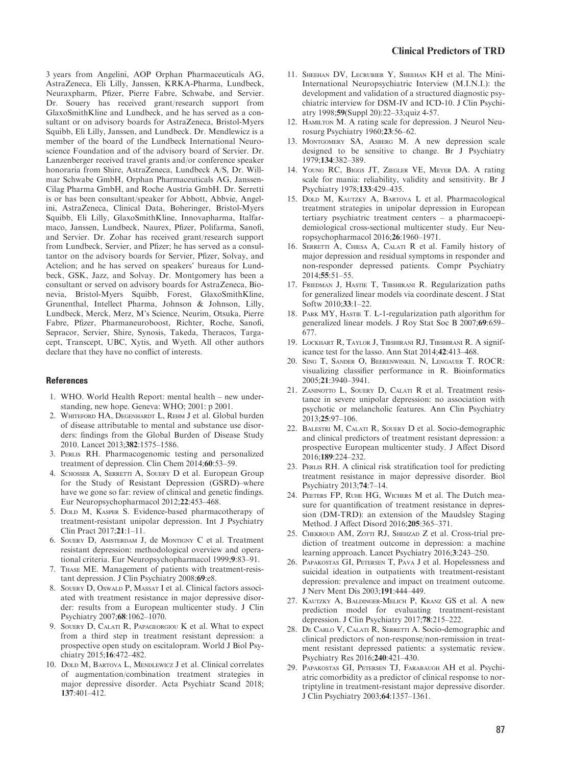3 years from Angelini, AOP Orphan Pharmaceuticals AG, AstraZeneca, Eli Lilly, Janssen, KRKA-Pharma, Lundbeck, Neuraxpharm, Pfizer, Pierre Fabre, Schwabe, and Servier. Dr. Souery has received grant/research support from GlaxoSmithKline and Lundbeck, and he has served as a consultant or on advisory boards for AstraZeneca, Bristol-Myers Squibb, Eli Lilly, Janssen, and Lundbeck. Dr. Mendlewicz is a member of the board of the Lundbeck International Neuroscience Foundation and of the advisory board of Servier. Dr. Lanzenberger received travel grants and/or conference speaker honoraria from Shire, AstraZeneca, Lundbeck A/S, Dr. Willmar Schwabe GmbH, Orphan Pharmaceuticals AG, Janssen-Cilag Pharma GmbH, and Roche Austria GmbH. Dr. Serretti is or has been consultant/speaker for Abbott, Abbvie, Angelini, AstraZeneca, Clinical Data, Boheringer, Bristol-Myers Squibb, Eli Lilly, GlaxoSmithKline, Innovapharma, Italfarmaco, Janssen, Lundbeck, Naurex, Pfizer, Polifarma, Sanofi, and Servier. Dr. Zohar has received grant/research support from Lundbeck, Servier, and Pfizer; he has served as a consultantor on the advisory boards for Servier, Pfizer, Solvay, and Actelion; and he has served on speakers' bureaus for Lundbeck, GSK, Jazz, and Solvay. Dr. Montgomery has been a consultant or served on advisory boards for AstraZeneca, Bionevia, Bristol-Myers Squibb, Forest, GlaxoSmithKline, Grunenthal, Intellect Pharma, Johnson & Johnson, Lilly, Lundbeck, Merck, Merz, M's Science, Neurim, Otsuka, Pierre Fabre, Pfizer, Pharmaneuroboost, Richter, Roche, Sanofi, Sepracor, Servier, Shire, Synosis, Takeda, Theracos, Targacept, Transcept, UBC, Xytis, and Wyeth. All other authors declare that they have no conflict of interests.

#### References

- 1. WHO. World Health Report: mental health new understanding, new hope. Geneva: WHO; 2001: p 2001.
- 2. WHITEFORD HA, DEGENHARDT L, REHM J et al. Global burden of disease attributable to mental and substance use disorders: findings from the Global Burden of Disease Study 2010. Lancet 2013;382:1575–1586.
- 3. Perlis RH. Pharmacogenomic testing and personalized treatment of depression. Clin Chem 2014;60:53–59.
- 4. SCHOSSER A, SERRETTI A, SOUERY D et al. European Group for the Study of Resistant Depression (GSRD)–where have we gone so far: review of clinical and genetic findings. Eur Neuropsychopharmacol 2012;22:453–468.
- 5. Dold M, KASPER S. Evidence-based pharmacotherapy of treatment-resistant unipolar depression. Int J Psychiatry Clin Pract 2017;21:1–11.
- 6. Souery D, Amsterdam J, de Montigny C et al. Treatment resistant depression: methodological overview and operational criteria. Eur Neuropsychopharmacol 1999;9:83–91.
- 7. Thase ME. Management of patients with treatment-resistant depression. J Clin Psychiatry 2008;69:e8.
- 8. SOUERY D, OSWALD P, MASSAT I et al. Clinical factors associated with treatment resistance in major depressive disorder: results from a European multicenter study. J Clin Psychiatry 2007;68:1062–1070.
- 9. Souery D, Calati R, Papageorgiou K et al. What to expect from a third step in treatment resistant depression: a prospective open study on escitalopram. World J Biol Psychiatry 2015;16:472–482.
- 10. DOLD M, BARTOVA L, MENDLEWICZ J et al. Clinical correlates of augmentation/combination treatment strategies in major depressive disorder. Acta Psychiatr Scand 2018; 137:401–412.
- 11. Sheehan DV, Lecrubier Y, Sheehan KH et al. The Mini-International Neuropsychiatric Interview (M.I.N.I.): the development and validation of a structured diagnostic psychiatric interview for DSM-IV and ICD-10. J Clin Psychiatry 1998;59(Suppl 20):22–33;quiz 4-57.
- 12. HAMILTON M. A rating scale for depression. J Neurol Neurosurg Psychiatry 1960;23:56–62.
- 13. Montgomery SA, Asberg M. A new depression scale designed to be sensitive to change. Br J Psychiatry 1979;134:382–389.
- 14. Young RC, Biggs JT, Ziegler VE, Meyer DA. A rating scale for mania: reliability, validity and sensitivity. Br J Psychiatry 1978;133:429–435.
- 15. Dold M, Kautzky A, Bartova L et al. Pharmacological treatment strategies in unipolar depression in European tertiary psychiatric treatment centers – a pharmacoepidemiological cross-sectional multicenter study. Eur Neuropsychopharmacol 2016;26:1960–1971.
- 16. SERRETTI A, CHIESA A, CALATI R et al. Family history of major depression and residual symptoms in responder and non-responder depressed patients. Compr Psychiatry 2014;55:51–55.
- 17. Friedman J, Hastie T, Tibshirani R. Regularization paths for generalized linear models via coordinate descent. J Stat Softw 2010;33:1–22.
- 18. Park MY, Hastie T. L-1-regularization path algorithm for generalized linear models. J Roy Stat Soc B 2007;69:659– 677.
- 19. Lockhart R, Taylor J, Tibshirani RJ, Tibshirani R. A significance test for the lasso. Ann Stat 2014;42:413–468.
- 20. Sing T, Sander O, Beerenwinkel N, Lengauer T. ROCR: visualizing classifier performance in R. Bioinformatics 2005;21:3940–3941.
- 21. ZANINOTTO L, SOUERY D, CALATI R et al. Treatment resistance in severe unipolar depression: no association with psychotic or melancholic features. Ann Clin Psychiatry 2013;25:97–106.
- 22. Balestri M, Calati R, Souery D et al. Socio-demographic and clinical predictors of treatment resistant depression: a prospective European multicenter study. J Affect Disord 2016;189:224–232.
- 23. Perlis RH. A clinical risk stratification tool for predicting treatment resistance in major depressive disorder. Biol Psychiatry 2013;74:7–14.
- 24. Peeters FP, Ruhe HG, Wichers M et al. The Dutch measure for quantification of treatment resistance in depression (DM-TRD): an extension of the Maudsley Staging Method. J Affect Disord 2016;205:365–371.
- 25. CHEKROUD AM, ZOTTI RJ, SHEHZAD Z et al. Cross-trial prediction of treatment outcome in depression: a machine learning approach. Lancet Psychiatry 2016;3:243–250.
- 26. Papakostas GI, Petersen T, Pava J et al. Hopelessness and suicidal ideation in outpatients with treatment-resistant depression: prevalence and impact on treatment outcome. J Nerv Ment Dis 2003;191:444–449.
- 27. Kautzky A, Baldinger-Melich P, Kranz GS et al. A new prediction model for evaluating treatment-resistant depression. J Clin Psychiatry 2017;78:215–222.
- 28. De Carlo V, Calati R, Serretti A. Socio-demographic and clinical predictors of non-response/non-remission in treatment resistant depressed patients: a systematic review. Psychiatry Res 2016;240:421–430.
- 29. Papakostas GI, Petersen TJ, Farabaugh AH et al. Psychiatric comorbidity as a predictor of clinical response to nortriptyline in treatment-resistant major depressive disorder. J Clin Psychiatry 2003;64:1357–1361.